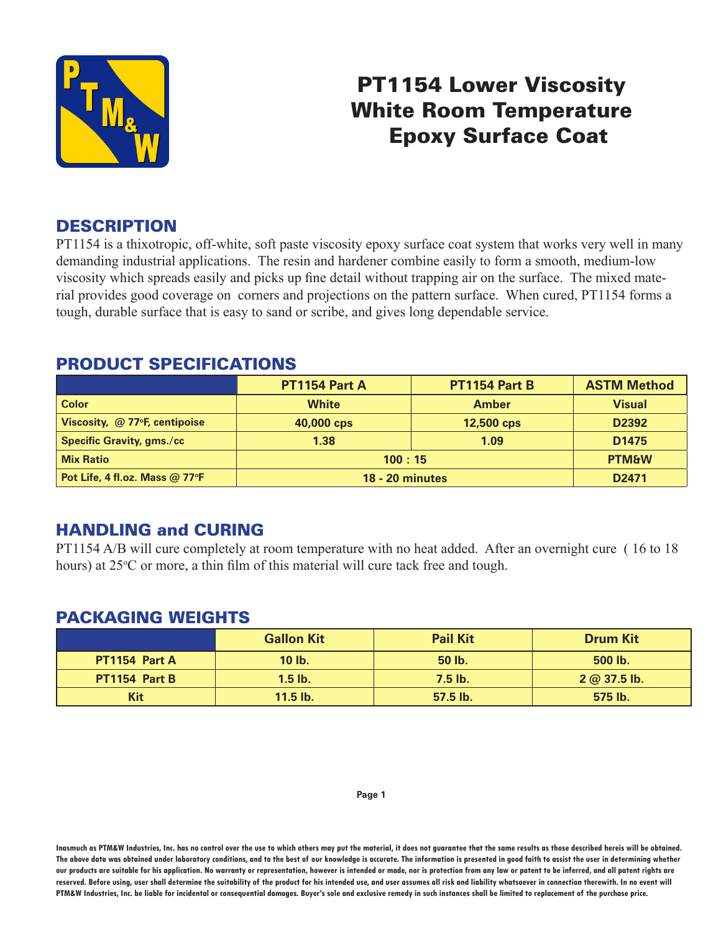

# PT1154 Lower Viscosity White Room Temperature Epoxy Surface Coat

## **DESCRIPTION**

PT1154 is a thixotropic, off-white, soft paste viscosity epoxy surface coat system that works very well in many demanding industrial applications. The resin and hardener combine easily to form a smooth, medium-low viscosity which spreads easily and picks up fine detail without trapping air on the surface. The mixed material provides good coverage on corners and projections on the pattern surface. When cured, PT1154 forms a tough, durable surface that is easy to sand or scribe, and gives long dependable service.

## PRODUCT SPECIFICATIONS

|                                              | <b>PT1154 Part A</b>   | <b>PT1154 Part B</b> | <b>ASTM Method</b> |
|----------------------------------------------|------------------------|----------------------|--------------------|
| <b>Color</b>                                 | <b>White</b>           | <b>Amber</b>         | <b>Visual</b>      |
| Viscosity, $@$ 77 ${}^{\circ}$ F, centipoise | 40,000 cps             | 12,500 cps           | D <sub>2392</sub>  |
| Specific Gravity, gms./cc                    | 1.38                   | 1.09                 | D <sub>1475</sub>  |
| <b>Mix Ratio</b>                             | 100:15                 |                      | <b>PTM&amp;W</b>   |
| Pot Life, 4 fl.oz. Mass @ 77°F               | <b>18 - 20 minutes</b> |                      | D <sub>2471</sub>  |

# HANDLING and CURING

PT1154 A/B will cure completely at room temperature with no heat added. After an overnight cure ( 16 to 18 hours) at 25°C or more, a thin film of this material will cure tack free and tough.

#### PACKAGING WEIGHTS

|               | <b>Gallon Kit</b> | <b>Pail Kit</b> | <b>Drum Kit</b> |
|---------------|-------------------|-----------------|-----------------|
| PT1154 Part A | $10$ lb.          | 50 lb.          | 500 lb.         |
| PT1154 Part B | $1.5$ lb.         | $7.5$ lb.       | 2 @ 37.5 lb.    |
| <b>Kit</b>    | $11.5$ lb.        | 57.5 lb.        | 575 lb.         |

**Inasmuch as PTM&W Industries, Inc. has no control over the use to which others may put the material, it does not guarantee that the same results as those described hereis will be obtained. The above data was obtained under laboratory conditions, and to the best of our knowledge is accurate. The information is presented in good faith to assist the user in determining whether our products are suitable for his application. No warranty or representation, however is intended or made, nor is protection from any law or patent to be inferred, and all patent rights are**  reserved. Before using, user shall determine the suitability of the product for his intended use, and user assumes all risk and liability whatsoever in connection therewith. In no event will **PTM&W Industries, Inc. be liable for incidental or consequential damages. Buyer's sole and exclusive remedy in such instances shall be limited to replacement of the purchase price.**